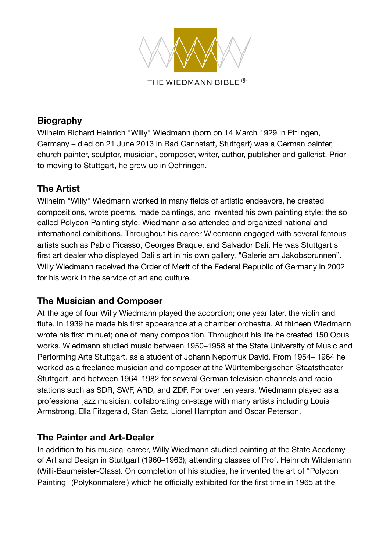

#### **Biography**

Wilhelm Richard Heinrich "Willy" Wiedmann (born on 14 March 1929 in Ettlingen, Germany – died on 21 June 2013 in Bad Cannstatt, Stuttgart) was a German painter, church painter, sculptor, musician, composer, writer, author, publisher and gallerist. Prior to moving to Stuttgart, he grew up in Oehringen.

#### **The Artist**

Wilhelm "Willy" Wiedmann worked in many fields of artistic endeavors, he created compositions, wrote poems, made paintings, and invented his own painting style: the so called Polycon Painting style. Wiedmann also attended and organized national and international exhibitions. Throughout his career Wiedmann engaged with several famous artists such as Pablo Picasso, Georges Braque, and Salvador Dalí. He was Stuttgart's first art dealer who displayed Dalí's art in his own gallery, "Galerie am Jakobsbrunnen". Willy Wiedmann received the Order of Merit of the Federal Republic of Germany in 2002 for his work in the service of art and culture.

#### **The Musician and Composer**

At the age of four Willy Wiedmann played the accordion; one year later, the violin and flute. In 1939 he made his first appearance at a chamber orchestra. At thirteen Wiedmann wrote his first minuet; one of many composition. Throughout his life he created 150 Opus works. Wiedmann studied music between 1950–1958 at the State University of Music and Performing Arts Stuttgart, as a student of Johann Nepomuk David. From 1954– 1964 he worked as a freelance musician and composer at the Württembergischen Staatstheater Stuttgart, and between 1964–1982 for several German television channels and radio stations such as SDR, SWF, ARD, and ZDF. For over ten years, Wiedmann played as a professional jazz musician, collaborating on-stage with many artists including Louis Armstrong, Ella Fitzgerald, Stan Getz, Lionel Hampton and Oscar Peterson.

# **The Painter and Art-Dealer**

In addition to his musical career, Willy Wiedmann studied painting at the State Academy of Art and Design in Stuttgart (1960–1963); attending classes of Prof. Heinrich Wildemann (Willi-Baumeister-Class). On completion of his studies, he invented the art of "Polycon Painting" (Polykonmalerei) which he officially exhibited for the first time in 1965 at the